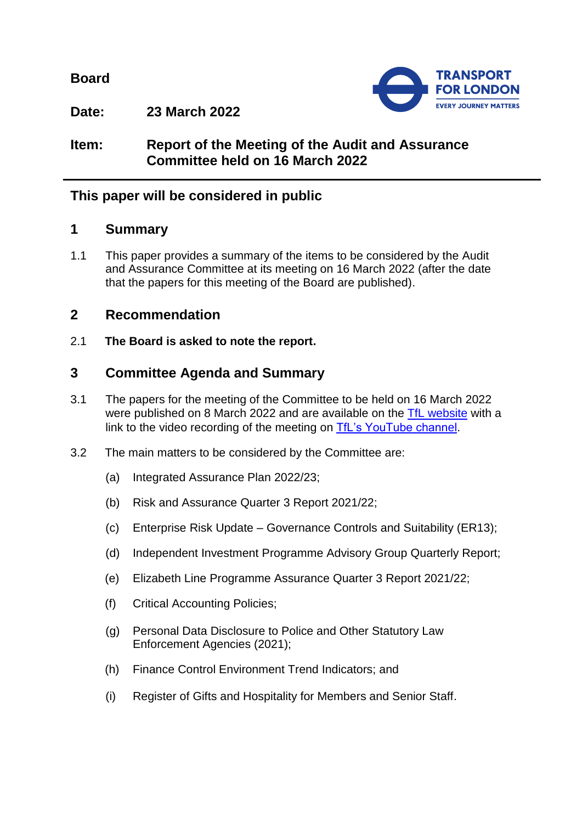**Board**



**Date: 23 March 2022**

# **Item: Report of the Meeting of the Audit and Assurance Committee held on 16 March 2022**

# **This paper will be considered in public**

# **1 Summary**

1.1 This paper provides a summary of the items to be considered by the Audit and Assurance Committee at its meeting on 16 March 2022 (after the date that the papers for this meeting of the Board are published).

# **2 Recommendation**

2.1 **The Board is asked to note the report.**

# **3 Committee Agenda and Summary**

- 3.1 The papers for the meeting of the Committee to be held on 16 March 2022 were published on 8 March 2022 and are available on the [TfL website](https://board.tfl.gov.uk/uuCoverPage.aspx?bcr=1) with a link to the video recording of the meeting on [TfL's YouTube channel.](https://www.youtube.com/playlist?list=PLtnlusA0Zoggk4qvN68OcnD9k_7B8cY_d)
- 3.2 The main matters to be considered by the Committee are:
	- (a) Integrated Assurance Plan 2022/23;
	- (b) Risk and Assurance Quarter 3 Report 2021/22;
	- (c) Enterprise Risk Update Governance Controls and Suitability (ER13);
	- (d) Independent Investment Programme Advisory Group Quarterly Report;
	- (e) Elizabeth Line Programme Assurance Quarter 3 Report 2021/22;
	- (f) Critical Accounting Policies;
	- (g) Personal Data Disclosure to Police and Other Statutory Law Enforcement Agencies (2021);
	- (h) Finance Control Environment Trend Indicators; and
	- (i) Register of Gifts and Hospitality for Members and Senior Staff.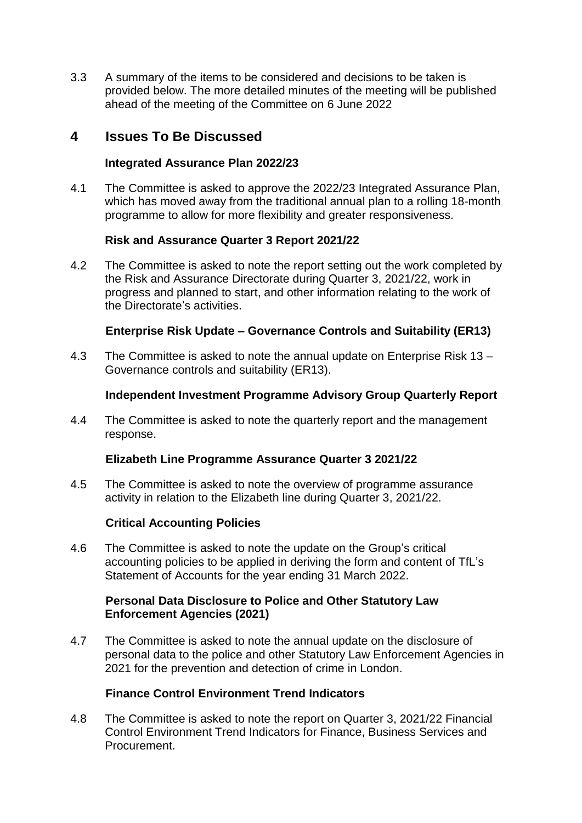3.3 A summary of the items to be considered and decisions to be taken is provided below. The more detailed minutes of the meeting will be published ahead of the meeting of the Committee on 6 June 2022

# **4 Issues To Be Discussed**

### **Integrated Assurance Plan 2022/23**

4.1 The Committee is asked to approve the 2022/23 Integrated Assurance Plan, which has moved away from the traditional annual plan to a rolling 18-month programme to allow for more flexibility and greater responsiveness.

# **Risk and Assurance Quarter 3 Report 2021/22**

4.2 The Committee is asked to note the report setting out the work completed by the Risk and Assurance Directorate during Quarter 3, 2021/22, work in progress and planned to start, and other information relating to the work of the Directorate's activities.

# **Enterprise Risk Update – Governance Controls and Suitability (ER13)**

4.3 The Committee is asked to note the annual update on Enterprise Risk 13 – Governance controls and suitability (ER13).

# **Independent Investment Programme Advisory Group Quarterly Report**

4.4 The Committee is asked to note the quarterly report and the management response.

### **Elizabeth Line Programme Assurance Quarter 3 2021/22**

4.5 The Committee is asked to note the overview of programme assurance activity in relation to the Elizabeth line during Quarter 3, 2021/22.

### **Critical Accounting Policies**

4.6 The Committee is asked to note the update on the Group's critical accounting policies to be applied in deriving the form and content of TfL's Statement of Accounts for the year ending 31 March 2022.

### **Personal Data Disclosure to Police and Other Statutory Law Enforcement Agencies (2021)**

4.7 The Committee is asked to note the annual update on the disclosure of personal data to the police and other Statutory Law Enforcement Agencies in 2021 for the prevention and detection of crime in London.

### **Finance Control Environment Trend Indicators**

4.8 The Committee is asked to note the report on Quarter 3, 2021/22 Financial Control Environment Trend Indicators for Finance, Business Services and Procurement.